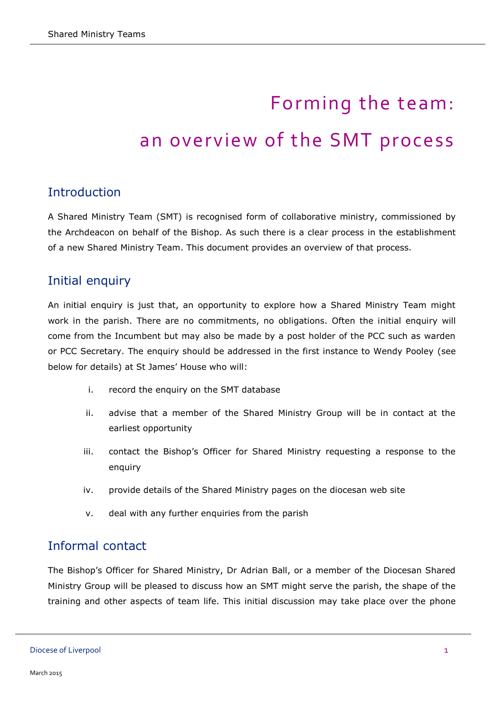# Forming the team: an overview of the SMT process

## Introduction

A Shared Ministry Team (SMT) is recognised form of collaborative ministry, commissioned by the Archdeacon on behalf of the Bishop. As such there is a clear process in the establishment of a new Shared Ministry Team. This document provides an overview of that process.

# Initial enquiry

An initial enquiry is just that, an opportunity to explore how a Shared Ministry Team might work in the parish. There are no commitments, no obligations. Often the initial enquiry will come from the Incumbent but may also be made by a post holder of the PCC such as warden or PCC Secretary. The enquiry should be addressed in the first instance to Wendy Pooley (see below for details) at St James' House who will:

- i. record the enquiry on the SMT database
- ii. advise that a member of the Shared Ministry Group will be in contact at the earliest opportunity
- iii. contact the Bishop's Officer for Shared Ministry requesting a response to the enquiry
- iv. provide details of the Shared Ministry pages on the diocesan web site
- v. deal with any further enquiries from the parish

## Informal contact

The Bishop's Officer for Shared Ministry, Dr Adrian Ball, or a member of the Diocesan Shared Ministry Group will be pleased to discuss how an SMT might serve the parish, the shape of the training and other aspects of team life. This initial discussion may take place over the phone

Diocese of Liverpool 1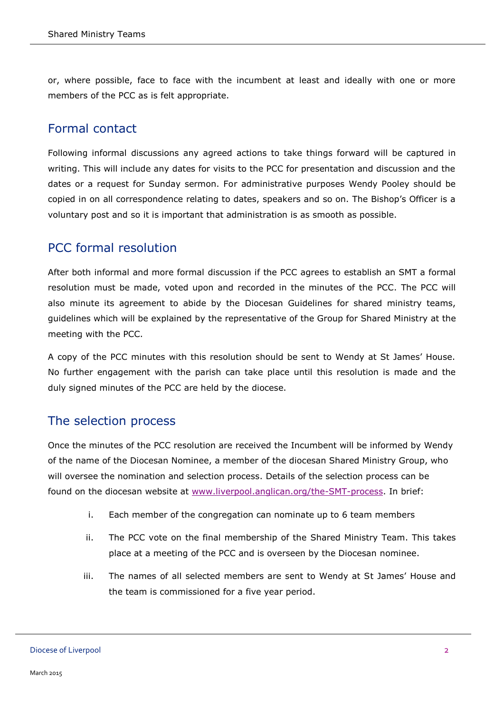or, where possible, face to face with the incumbent at least and ideally with one or more members of the PCC as is felt appropriate.

#### Formal contact

Following informal discussions any agreed actions to take things forward will be captured in writing. This will include any dates for visits to the PCC for presentation and discussion and the dates or a request for Sunday sermon. For administrative purposes Wendy Pooley should be copied in on all correspondence relating to dates, speakers and so on. The Bishop's Officer is a voluntary post and so it is important that administration is as smooth as possible.

#### PCC formal resolution

After both informal and more formal discussion if the PCC agrees to establish an SMT a formal resolution must be made, voted upon and recorded in the minutes of the PCC. The PCC will also minute its agreement to abide by the Diocesan Guidelines for shared ministry teams, guidelines which will be explained by the representative of the Group for Shared Ministry at the meeting with the PCC.

A copy of the PCC minutes with this resolution should be sent to Wendy at St James' House. No further engagement with the parish can take place until this resolution is made and the duly signed minutes of the PCC are held by the diocese.

#### The selection process

Once the minutes of the PCC resolution are received the Incumbent will be informed by Wendy of the name of the Diocesan Nominee, a member of the diocesan Shared Ministry Group, who will oversee the nomination and selection process. Details of the selection process can be found on the diocesan website at [www.liverpool.anglican.org/the-SMT-process.](http://www.liverpool.anglican.org/the-SMT-process) In brief:

- i. Each member of the congregation can nominate up to 6 team members
- ii. The PCC vote on the final membership of the Shared Ministry Team. This takes place at a meeting of the PCC and is overseen by the Diocesan nominee.
- iii. The names of all selected members are sent to Wendy at St James' House and the team is commissioned for a five year period.